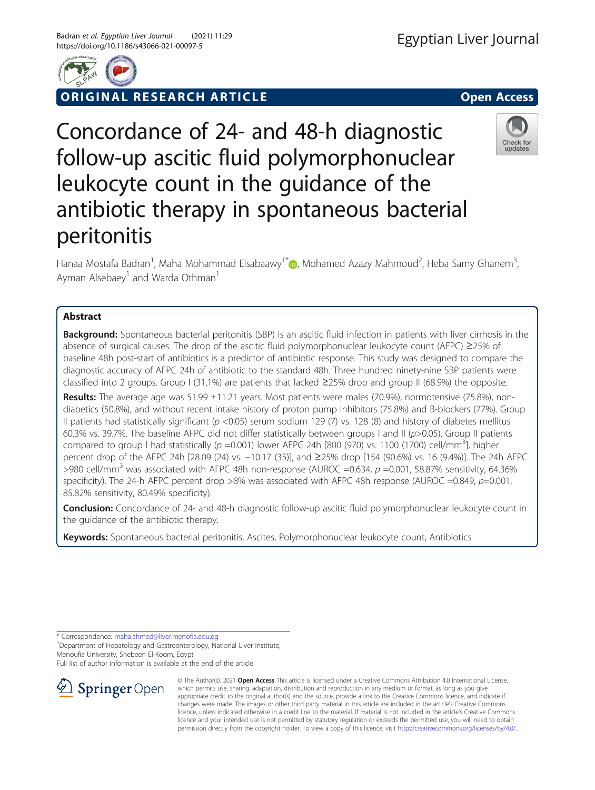

# RIGINAL RESEARCH ARTICLE **External in the Contract Open Access**

# Concordance of 24- and 48-h diagnostic follow-up ascitic fluid polymorphonuclear leukocyte count in the guidance of the antibiotic therapy in spontaneous bacterial peritonitis

Hanaa Mostafa Badran<sup>1</sup>[,](http://orcid.org/0000-0002-3110-1547) Maha Mohammad Elsabaawy<sup>1\*</sup> (@, Mohamed Azazy Mahmoud<sup>2</sup>, Heba Samy Ghanem<sup>3</sup> , Ayman Alsebaey<sup>1</sup> and Warda Othman<sup>1</sup>

# Abstract

**Background:** Spontaneous bacterial peritonitis (SBP) is an ascitic fluid infection in patients with liver cirrhosis in the absence of surgical causes. The drop of the ascitic fluid polymorphonuclear leukocyte count (AFPC) ≥25% of baseline 48h post-start of antibiotics is a predictor of antibiotic response. This study was designed to compare the diagnostic accuracy of AFPC 24h of antibiotic to the standard 48h. Three hundred ninety-nine SBP patients were classified into 2 groups. Group I (31.1%) are patients that lacked ≥25% drop and group II (68.9%) the opposite.

Results: The average age was 51.99 ±11.21 years. Most patients were males (70.9%), normotensive (75.8%), nondiabetics (50.8%), and without recent intake history of proton pump inhibitors (75.8%) and B-blockers (77%). Group II patients had statistically significant ( $p < 0.05$ ) serum sodium 129 (7) vs. 128 (8) and history of diabetes mellitus 60.3% vs. 39.7%. The baseline AFPC did not differ statistically between groups I and II (p>0.05). Group II patients compared to group I had statistically ( $p = 0.001$ ) lower AFPC 24h [800 (970) vs. 1100 (1700) cell/mm<sup>3</sup>], higher percent drop of the AFPC 24h [28.09 (24) vs. −10.17 (35)], and ≥25% drop [154 (90.6%) vs. 16 (9.4%)]. The 24h AFPC >980 cell/mm<sup>3</sup> was associated with AFPC 48h non-response (AUROC =0.634,  $p$  =0.001, 58.87% sensitivity, 64.36% specificity). The 24-h AFPC percent drop  $>8\%$  was associated with AFPC 48h response (AUROC =0.849, p=0.001, 85.82% sensitivity, 80.49% specificity).

Conclusion: Concordance of 24- and 48-h diagnostic follow-up ascitic fluid polymorphonuclear leukocyte count in the guidance of the antibiotic therapy.

Keywords: Spontaneous bacterial peritonitis, Ascites, Polymorphonuclear leukocyte count, Antibiotics

\* Correspondence: [maha.ahmed@liver.menofia.edu.eg](mailto:maha.ahmed@liver.menofia.edu.eg) <sup>1</sup>

<sup>1</sup> Department of Hepatology and Gastroenterology, National Liver Institute, Menoufia University, Shebeen El-Koom, Egypt

Full list of author information is available at the end of the article





Check for updates

© The Author(s). 2021 Open Access This article is licensed under a Creative Commons Attribution 4.0 International License, which permits use, sharing, adaptation, distribution and reproduction in any medium or format, as long as you give appropriate credit to the original author(s) and the source, provide a link to the Creative Commons licence, and indicate if changes were made. The images or other third party material in this article are included in the article's Creative Commons licence, unless indicated otherwise in a credit line to the material. If material is not included in the article's Creative Commons licence and your intended use is not permitted by statutory regulation or exceeds the permitted use, you will need to obtain permission directly from the copyright holder. To view a copy of this licence, visit <http://creativecommons.org/licenses/by/4.0/>.

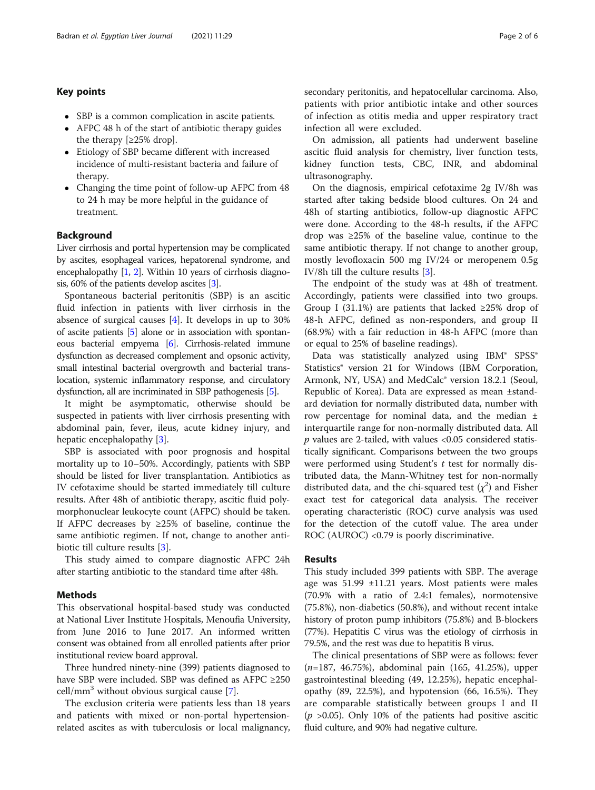# Key points

- SBP is a common complication in ascite patients.
- AFPC 48 h of the start of antibiotic therapy guides the therapy [≥25% drop].
- Etiology of SBP became different with increased incidence of multi-resistant bacteria and failure of therapy.
- Changing the time point of follow-up AFPC from 48 to 24 h may be more helpful in the guidance of treatment.

## Background

Liver cirrhosis and portal hypertension may be complicated by ascites, esophageal varices, hepatorenal syndrome, and encephalopathy [\[1,](#page-4-0) [2\]](#page-4-0). Within 10 years of cirrhosis diagnosis, 60% of the patients develop ascites [[3](#page-4-0)].

Spontaneous bacterial peritonitis (SBP) is an ascitic fluid infection in patients with liver cirrhosis in the absence of surgical causes [\[4](#page-4-0)]. It develops in up to 30% of ascite patients [\[5\]](#page-4-0) alone or in association with spontaneous bacterial empyema [[6\]](#page-4-0). Cirrhosis-related immune dysfunction as decreased complement and opsonic activity, small intestinal bacterial overgrowth and bacterial translocation, systemic inflammatory response, and circulatory dysfunction, all are incriminated in SBP pathogenesis [[5](#page-4-0)].

It might be asymptomatic, otherwise should be suspected in patients with liver cirrhosis presenting with abdominal pain, fever, ileus, acute kidney injury, and hepatic encephalopathy [[3\]](#page-4-0).

SBP is associated with poor prognosis and hospital mortality up to 10–50%. Accordingly, patients with SBP should be listed for liver transplantation. Antibiotics as IV cefotaxime should be started immediately till culture results. After 48h of antibiotic therapy, ascitic fluid polymorphonuclear leukocyte count (AFPC) should be taken. If AFPC decreases by  $\geq$ 25% of baseline, continue the same antibiotic regimen. If not, change to another antibiotic till culture results [[3\]](#page-4-0).

This study aimed to compare diagnostic AFPC 24h after starting antibiotic to the standard time after 48h.

# Methods

This observational hospital-based study was conducted at National Liver Institute Hospitals, Menoufia University, from June 2016 to June 2017. An informed written consent was obtained from all enrolled patients after prior institutional review board approval.

Three hundred ninety-nine (399) patients diagnosed to have SBP were included. SBP was defined as AFPC ≥250  $cell/mm<sup>3</sup>$  without obvious surgical cause [[7\]](#page-5-0).

The exclusion criteria were patients less than 18 years and patients with mixed or non-portal hypertensionrelated ascites as with tuberculosis or local malignancy, secondary peritonitis, and hepatocellular carcinoma. Also, patients with prior antibiotic intake and other sources of infection as otitis media and upper respiratory tract infection all were excluded.

On admission, all patients had underwent baseline ascitic fluid analysis for chemistry, liver function tests, kidney function tests, CBC, INR, and abdominal ultrasonography.

On the diagnosis, empirical cefotaxime 2g IV/8h was started after taking bedside blood cultures. On 24 and 48h of starting antibiotics, follow-up diagnostic AFPC were done. According to the 48-h results, if the AFPC drop was ≥25% of the baseline value, continue to the same antibiotic therapy. If not change to another group, mostly levofloxacin 500 mg IV/24 or meropenem 0.5g IV/8h till the culture results [[3\]](#page-4-0).

The endpoint of the study was at 48h of treatment. Accordingly, patients were classified into two groups. Group I (31.1%) are patients that lacked  $\geq$ 25% drop of 48-h AFPC, defined as non-responders, and group II (68.9%) with a fair reduction in 48-h AFPC (more than or equal to 25% of baseline readings).

Data was statistically analyzed using IBM® SPSS® Statistics® version 21 for Windows (IBM Corporation, Armonk, NY, USA) and MedCalc® version 18.2.1 (Seoul, Republic of Korea). Data are expressed as mean ±standard deviation for normally distributed data, number with row percentage for nominal data, and the median ± interquartile range for non-normally distributed data. All  $p$  values are 2-tailed, with values <0.05 considered statistically significant. Comparisons between the two groups were performed using Student's  $t$  test for normally distributed data, the Mann-Whitney test for non-normally distributed data, and the chi-squared test  $(\chi^2)$  and Fisher exact test for categorical data analysis. The receiver operating characteristic (ROC) curve analysis was used for the detection of the cutoff value. The area under ROC (AUROC) <0.79 is poorly discriminative.

## Results

This study included 399 patients with SBP. The average age was 51.99 ±11.21 years. Most patients were males (70.9% with a ratio of 2.4:1 females), normotensive (75.8%), non-diabetics (50.8%), and without recent intake history of proton pump inhibitors (75.8%) and B-blockers (77%). Hepatitis C virus was the etiology of cirrhosis in 79.5%, and the rest was due to hepatitis B virus.

The clinical presentations of SBP were as follows: fever (n=187, 46.75%), abdominal pain (165, 41.25%), upper gastrointestinal bleeding (49, 12.25%), hepatic encephalopathy (89, 22.5%), and hypotension (66, 16.5%). They are comparable statistically between groups I and II  $(p > 0.05)$ . Only 10% of the patients had positive ascitic fluid culture, and 90% had negative culture.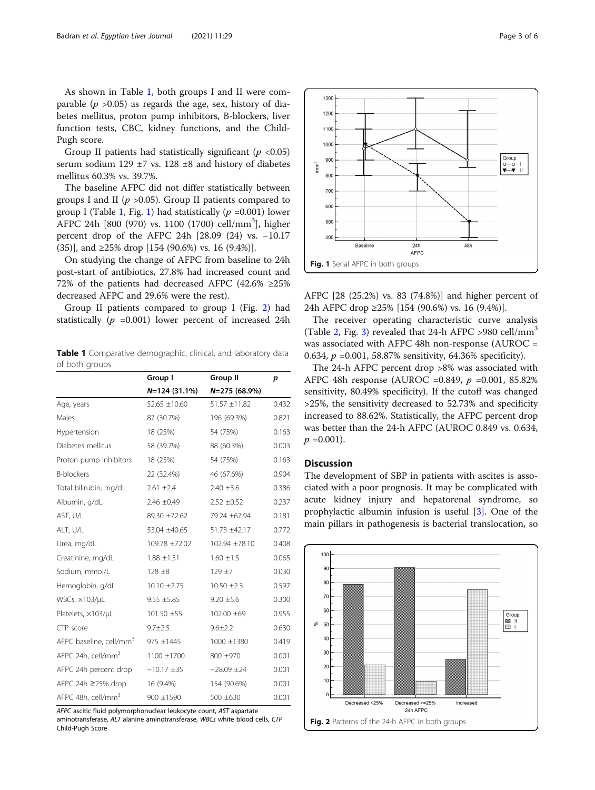As shown in Table 1, both groups I and II were comparable ( $p > 0.05$ ) as regards the age, sex, history of diabetes mellitus, proton pump inhibitors, B-blockers, liver function tests, CBC, kidney functions, and the Child-Pugh score.

Group II patients had statistically significant ( $p < 0.05$ ) serum sodium 129 ±7 vs. 128 ±8 and history of diabetes mellitus 60.3% vs. 39.7%.

The baseline AFPC did not differ statistically between groups I and II ( $p > 0.05$ ). Group II patients compared to group I (Table 1, Fig. 1) had statistically  $(p = 0.001)$  lower AFPC 24h [800 (970) vs. 1100 (1700) cell/mm<sup>3</sup>], higher percent drop of the AFPC 24h [28.09 (24) vs. −10.17 (35)], and ≥25% drop [154 (90.6%) vs. 16 (9.4%)].

On studying the change of AFPC from baseline to 24h post-start of antibiotics, 27.8% had increased count and 72% of the patients had decreased AFPC (42.6% ≥25% decreased AFPC and 29.6% were the rest).

Group II patients compared to group I (Fig. 2) had statistically ( $p = 0.001$ ) lower percent of increased 24h

Table 1 Comparative demographic, clinical, and laboratory data of both groups

|                                     | Group I                          | <b>Group II</b>   | p     |
|-------------------------------------|----------------------------------|-------------------|-------|
|                                     | $N=124(31.1%)$<br>$N=275(68.9%)$ |                   |       |
| Age, years                          | $52.65 \pm 10.60$                | $51.57 \pm 11.82$ | 0.432 |
| Males                               | 87 (30.7%)                       | 196 (69.3%)       | 0.821 |
| Hypertension                        | 18 (25%)                         | 54 (75%)          | 0.163 |
| Diabetes mellitus                   | 58 (39.7%)                       | 88 (60.3%)        | 0.003 |
| Proton pump inhibitors              | 18 (25%)                         | 54 (75%)          | 0.163 |
| <b>B-blockers</b>                   | 22 (32.4%)                       | 46 (67.6%)        | 0.904 |
| Total bilirubin, mg/dL              | $2.61 \pm 2.4$                   | $2.40 \pm 3.6$    | 0.386 |
| Albumin, g/dL                       | $2.46 \pm 0.49$                  | $2.52 \pm 0.52$   | 0.237 |
| AST, U/L                            | 89.30 ±72.62                     | 79.24 ±67.94      | 0.181 |
| ALT, U/L                            | 53.04 ±40.65                     | 51.73 ±42.17      | 0.772 |
| Urea, mg/dL                         | 109.78 ±72.02                    | 102.94 ±78.10     | 0.408 |
| Creatinine, mg/dL                   | $1.88 \pm 1.51$                  | $1.60 \pm 1.5$    | 0.065 |
| Sodium, mmol/L                      | $128 + 8$                        | $129 + 7$         | 0.030 |
| Hemoglobin, g/dL                    | $10.10 \pm 2.75$                 | $10.50 \pm 2.3$   | 0.597 |
| WBCs, $\times$ 103/ $\mu$ L         | $9.55 \pm 5.85$                  | $9.20 \pm 5.6$    | 0.300 |
| Platelets, ×103/µL                  | $101.50 \pm 55$                  | 102.00 ±69        | 0.955 |
| CTP score                           | $9.7 \pm 2.5$                    | $9.6 \pm 2.2$     | 0.630 |
| AFPC baseline, cell/mm <sup>3</sup> | $975 \pm 1445$                   | 1000 ±1380        | 0.419 |
| AFPC 24h, cell/mm <sup>3</sup>      | 1100 ±1700                       | 800 ±970          | 0.001 |
| AFPC 24h percent drop               | $-10.17 \pm 35$                  | $-28.09 \pm 24$   | 0.001 |
| AFPC 24h ≥25% drop                  | 16 (9.4%)                        | 154 (90.6%)       | 0.001 |
| AFPC 48h, cell/mm <sup>3</sup>      | 900 ±1590                        | 500 ±630          | 0.001 |

AFPC ascitic fluid polymorphonuclear leukocyte count, AST aspartate aminotransferase, ALT alanine aminotransferase, WBCs white blood cells, CTP Child-Pugh Score



AFPC [28 (25.2%) vs. 83 (74.8%)] and higher percent of 24h AFPC drop ≥25% [154 (90.6%) vs. 16 (9.4%)].

The receiver operating characteristic curve analysis (Table [2,](#page-3-0) Fig. [3\)](#page-3-0) revealed that 24-h AFPC >980 cell/mm<sup>3</sup> was associated with AFPC 48h non-response (AUROC = 0.634,  $p = 0.001, 58.87\%$  sensitivity, 64.36% specificity).

The 24-h AFPC percent drop >8% was associated with AFPC 48h response (AUROC =0.849,  $p$  =0.001, 85.82% sensitivity, 80.49% specificity). If the cutoff was changed >25%, the sensitivity decreased to 52.73% and specificity increased to 88.62%. Statistically, the AFPC percent drop was better than the 24-h AFPC (AUROC 0.849 vs. 0.634,  $p = 0.001$ ).

# **Discussion**

The development of SBP in patients with ascites is associated with a poor prognosis. It may be complicated with acute kidney injury and hepatorenal syndrome, so prophylactic albumin infusion is useful [\[3\]](#page-4-0). One of the main pillars in pathogenesis is bacterial translocation, so

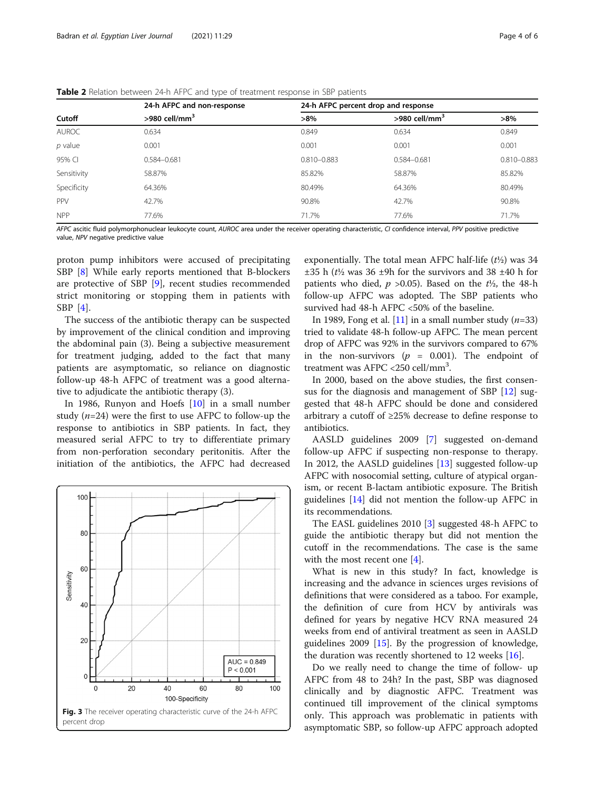<span id="page-3-0"></span>

| Cutoff       | 24-h AFPC and non-response<br>$>980$ cell/mm <sup>3</sup> | 24-h AFPC percent drop and response |                             |                 |
|--------------|-----------------------------------------------------------|-------------------------------------|-----------------------------|-----------------|
|              |                                                           | $>8\%$                              | $>980$ cell/mm <sup>3</sup> | $>8\%$          |
| <b>AUROC</b> | 0.634                                                     | 0.849                               | 0.634                       | 0.849           |
| $p$ value    | 0.001                                                     | 0.001                               | 0.001                       | 0.001           |
| 95% CI       | 0.584-0.681                                               | $0.810 - 0.883$                     | 0.584-0.681                 | $0.810 - 0.883$ |
| Sensitivity  | 58.87%                                                    | 85.82%                              | 58.87%                      | 85.82%          |
| Specificity  | 64.36%                                                    | 80.49%                              | 64.36%                      | 80.49%          |
| PPV          | 42.7%                                                     | 90.8%                               | 42.7%                       | 90.8%           |
| <b>NPP</b>   | 77.6%                                                     | 71.7%                               | 77.6%                       | 71.7%           |

AFPC ascitic fluid polymorphonuclear leukocyte count, AUROC area under the receiver operating characteristic, CI confidence interval, PPV positive predictive value, NPV negative predictive value

proton pump inhibitors were accused of precipitating SBP [\[8](#page-5-0)] While early reports mentioned that B-blockers are protective of SBP [[9\]](#page-5-0), recent studies recommended strict monitoring or stopping them in patients with SBP [[4](#page-4-0)].

The success of the antibiotic therapy can be suspected by improvement of the clinical condition and improving the abdominal pain (3). Being a subjective measurement for treatment judging, added to the fact that many patients are asymptomatic, so reliance on diagnostic follow-up 48-h AFPC of treatment was a good alternative to adjudicate the antibiotic therapy (3).

In 1986, Runyon and Hoefs [[10](#page-5-0)] in a small number study  $(n=24)$  were the first to use AFPC to follow-up the response to antibiotics in SBP patients. In fact, they measured serial AFPC to try to differentiate primary from non-perforation secondary peritonitis. After the initiation of the antibiotics, the AFPC had decreased



exponentially. The total mean AFPC half-life  $(t\frac{1}{2})$  was 34  $\pm 35$  h ( $t\frac{1}{2}$  was 36  $\pm 9$ h for the survivors and 38  $\pm 40$  h for patients who died,  $p > 0.05$ ). Based on the  $t\frac{1}{2}$ , the 48-h follow-up AFPC was adopted. The SBP patients who survived had 48-h AFPC <50% of the baseline.

In 1989, Fong et al. [\[11\]](#page-5-0) in a small number study  $(n=33)$ tried to validate 48-h follow-up AFPC. The mean percent drop of AFPC was 92% in the survivors compared to 67% in the non-survivors  $(p = 0.001)$ . The endpoint of treatment was AFPC <250 cell/mm3 .

In 2000, based on the above studies, the first consensus for the diagnosis and management of SBP [[12](#page-5-0)] suggested that 48-h AFPC should be done and considered arbitrary a cutoff of ≥25% decrease to define response to antibiotics.

AASLD guidelines 2009 [[7\]](#page-5-0) suggested on-demand follow-up AFPC if suspecting non-response to therapy. In 2012, the AASLD guidelines [\[13](#page-5-0)] suggested follow-up AFPC with nosocomial setting, culture of atypical organism, or recent B-lactam antibiotic exposure. The British guidelines [[14\]](#page-5-0) did not mention the follow-up AFPC in its recommendations.

The EASL guidelines 2010 [[3\]](#page-4-0) suggested 48-h AFPC to guide the antibiotic therapy but did not mention the cutoff in the recommendations. The case is the same with the most recent one [\[4\]](#page-4-0).

What is new in this study? In fact, knowledge is increasing and the advance in sciences urges revisions of definitions that were considered as a taboo. For example, the definition of cure from HCV by antivirals was defined for years by negative HCV RNA measured 24 weeks from end of antiviral treatment as seen in AASLD guidelines 2009 [\[15](#page-5-0)]. By the progression of knowledge, the duration was recently shortened to 12 weeks [[16](#page-5-0)].

Do we really need to change the time of follow- up AFPC from 48 to 24h? In the past, SBP was diagnosed clinically and by diagnostic AFPC. Treatment was continued till improvement of the clinical symptoms only. This approach was problematic in patients with asymptomatic SBP, so follow-up AFPC approach adopted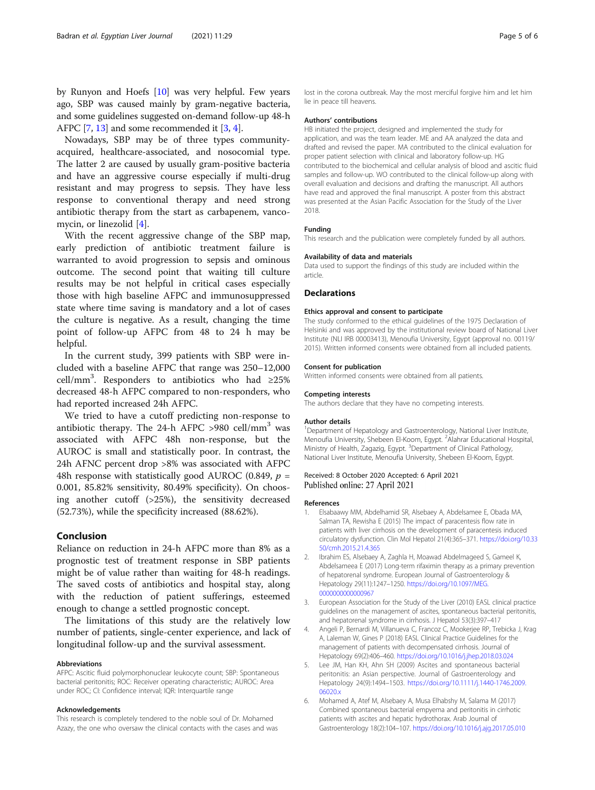<span id="page-4-0"></span>by Runyon and Hoefs [\[10\]](#page-5-0) was very helpful. Few years ago, SBP was caused mainly by gram-negative bacteria, and some guidelines suggested on-demand follow-up 48-h AFPC [\[7](#page-5-0), [13](#page-5-0)] and some recommended it [3, 4].

Nowadays, SBP may be of three types communityacquired, healthcare-associated, and nosocomial type. The latter 2 are caused by usually gram-positive bacteria and have an aggressive course especially if multi-drug resistant and may progress to sepsis. They have less response to conventional therapy and need strong antibiotic therapy from the start as carbapenem, vancomycin, or linezolid [4].

With the recent aggressive change of the SBP map, early prediction of antibiotic treatment failure is warranted to avoid progression to sepsis and ominous outcome. The second point that waiting till culture results may be not helpful in critical cases especially those with high baseline AFPC and immunosuppressed state where time saving is mandatory and a lot of cases the culture is negative. As a result, changing the time point of follow-up AFPC from 48 to 24 h may be helpful.

In the current study, 399 patients with SBP were included with a baseline AFPC that range was 250–12,000 cell/mm<sup>3</sup>. Responders to antibiotics who had  $\geq 25\%$ decreased 48-h AFPC compared to non-responders, who had reported increased 24h AFPC.

We tried to have a cutoff predicting non-response to antibiotic therapy. The 24-h AFPC  $>980$  cell/mm<sup>3</sup> was associated with AFPC 48h non-response, but the AUROC is small and statistically poor. In contrast, the 24h AFNC percent drop >8% was associated with AFPC 48h response with statistically good AUROC (0.849,  $p =$ 0.001, 85.82% sensitivity, 80.49% specificity). On choosing another cutoff (>25%), the sensitivity decreased (52.73%), while the specificity increased (88.62%).

# Conclusion

Reliance on reduction in 24-h AFPC more than 8% as a prognostic test of treatment response in SBP patients might be of value rather than waiting for 48-h readings. The saved costs of antibiotics and hospital stay, along with the reduction of patient sufferings, esteemed enough to change a settled prognostic concept.

The limitations of this study are the relatively low number of patients, single-center experience, and lack of longitudinal follow-up and the survival assessment.

#### Abbreviations

AFPC: Ascitic fluid polymorphonuclear leukocyte count; SBP: Spontaneous bacterial peritonitis; ROC: Receiver operating characteristic; AUROC: Area under ROC; CI: Confidence interval; IQR: Interquartile range

#### Acknowledgements

This research is completely tendered to the noble soul of Dr. Mohamed Azazy, the one who oversaw the clinical contacts with the cases and was lost in the corona outbreak. May the most merciful forgive him and let him lie in peace till heavens.

#### Authors' contributions

HB initiated the project, designed and implemented the study for application, and was the team leader. ME and AA analyzed the data and drafted and revised the paper. MA contributed to the clinical evaluation for proper patient selection with clinical and laboratory follow-up. HG contributed to the biochemical and cellular analysis of blood and ascitic fluid samples and follow-up. WO contributed to the clinical follow-up along with overall evaluation and decisions and drafting the manuscript. All authors have read and approved the final manuscript. A poster from this abstract was presented at the Asian Pacific Association for the Study of the Liver 2018.

#### Funding

This research and the publication were completely funded by all authors.

#### Availability of data and materials

Data used to support the findings of this study are included within the article.

### Declarations

#### Ethics approval and consent to participate

The study conformed to the ethical guidelines of the 1975 Declaration of Helsinki and was approved by the institutional review board of National Liver Institute (NLI IRB 00003413), Menoufia University, Egypt (approval no. 00119/ 2015). Written informed consents were obtained from all included patients.

## Consent for publication

Written informed consents were obtained from all patients.

# Competing interests

The authors declare that they have no competing interests.

#### Author details

<sup>1</sup>Department of Hepatology and Gastroenterology, National Liver Institute, Menoufia University, Shebeen El-Koom, Egypt. <sup>2</sup>Alahrar Educational Hospital Ministry of Health, Zagazig, Egypt. <sup>3</sup>Department of Clinical Pathology, National Liver Institute, Menoufia University, Shebeen El-Koom, Egypt.

#### Received: 8 October 2020 Accepted: 6 April 2021 Published online: 27 April 2021

#### References

- 1. Elsabaawy MM, Abdelhamid SR, Alsebaey A, Abdelsamee E, Obada MA, Salman TA, Rewisha E (2015) The impact of paracentesis flow rate in patients with liver cirrhosis on the development of paracentesis induced circulatory dysfunction. Clin Mol Hepatol 21(4):365–371. [https://doi.org/10.33](https://doi.org/10.3350/cmh.2015.21.4.365) [50/cmh.2015.21.4.365](https://doi.org/10.3350/cmh.2015.21.4.365)
- 2. Ibrahim ES, Alsebaey A, Zaghla H, Moawad Abdelmageed S, Gameel K, Abdelsameea E (2017) Long-term rifaximin therapy as a primary prevention of hepatorenal syndrome. European Journal of Gastroenterology & Hepatology 29(11):1247–1250. [https://doi.org/10.1097/MEG.](https://doi.org/10.1097/MEG.0000000000000967) [0000000000000967](https://doi.org/10.1097/MEG.0000000000000967)
- 3. European Association for the Study of the Liver (2010) EASL clinical practice guidelines on the management of ascites, spontaneous bacterial peritonitis, and hepatorenal syndrome in cirrhosis. J Hepatol 53(3):397–417
- 4. Angeli P, Bernardi M, Villanueva C, Francoz C, Mookerjee RP, Trebicka J, Krag A, Laleman W, Gines P (2018) EASL Clinical Practice Guidelines for the management of patients with decompensated cirrhosis. Journal of Hepatology 69(2):406–460. <https://doi.org/10.1016/j.jhep.2018.03.024>
- 5. Lee JM, Han KH, Ahn SH (2009) Ascites and spontaneous bacterial peritonitis: an Asian perspective. Journal of Gastroenterology and Hepatology 24(9):1494–1503. [https://doi.org/10.1111/j.1440-1746.2009.](https://doi.org/10.1111/j.1440-1746.2009.06020.x) [06020.x](https://doi.org/10.1111/j.1440-1746.2009.06020.x)
- 6. Mohamed A, Atef M, Alsebaey A, Musa Elhabshy M, Salama M (2017) Combined spontaneous bacterial empyema and peritonitis in cirrhotic patients with ascites and hepatic hydrothorax. Arab Journal of Gastroenterology 18(2):104–107. <https://doi.org/10.1016/j.ajg.2017.05.010>